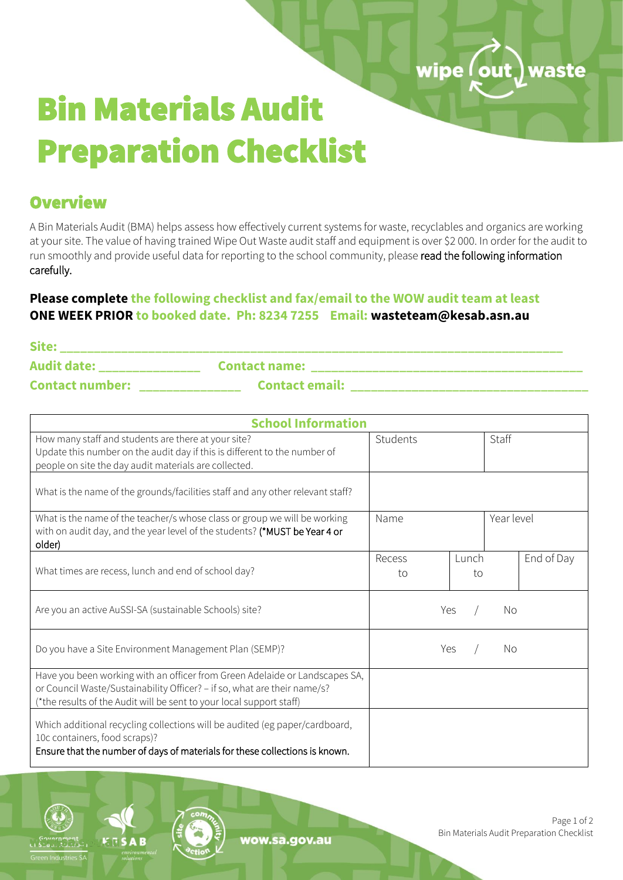# Bin Materials Audit Preparation Checklist

# Overview

A Bin Materials Audit (BMA) helps assess how effectively current systems for waste, recyclables and organics are working at your site. The value of having trained Wipe Out Waste audit staff and equipment is over \$2 000. In order for the audit to run smoothly and provide useful data for reporting to the school community, please read the following information carefully.

## **Please complete the following checklist and fax/email to the WOW audit team at least ONE WEEK PRIOR to booked date. Ph: 8234 7255 Email: wasteteam@kesab.asn.au**

| Site:                  |                       |
|------------------------|-----------------------|
| <b>Audit date:</b>     | <b>Contact name:</b>  |
| <b>Contact number:</b> | <b>Contact email:</b> |

| <b>School Information</b>                                                                                                                                                                                                       |              |             |            |            |  |  |
|---------------------------------------------------------------------------------------------------------------------------------------------------------------------------------------------------------------------------------|--------------|-------------|------------|------------|--|--|
| How many staff and students are there at your site?<br>Update this number on the audit day if this is different to the number of<br>people on site the day audit materials are collected.                                       | Students     |             | Staff      |            |  |  |
| What is the name of the grounds/facilities staff and any other relevant staff?                                                                                                                                                  |              |             |            |            |  |  |
| What is the name of the teacher/s whose class or group we will be working<br>with on audit day, and the year level of the students? (*MUST be Year 4 or<br>older)                                                               | Name         |             | Year level |            |  |  |
| What times are recess, lunch and end of school day?                                                                                                                                                                             | Recess<br>to | Lunch<br>to |            | End of Day |  |  |
| Are you an active AuSSI-SA (sustainable Schools) site?                                                                                                                                                                          | Yes.<br>Νo   |             |            |            |  |  |
| Do you have a Site Environment Management Plan (SEMP)?                                                                                                                                                                          | Yes<br>No    |             |            |            |  |  |
| Have you been working with an officer from Green Adelaide or Landscapes SA,<br>or Council Waste/Sustainability Officer? - if so, what are their name/s?<br>(*the results of the Audit will be sent to your local support staff) |              |             |            |            |  |  |
| Which additional recycling collections will be audited (eg paper/cardboard,<br>10c containers, food scraps)?<br>Ensure that the number of days of materials for these collections is known.                                     |              |             |            |            |  |  |



wow.sa.gov.au

Page 1 of 2 Bin Materials Audit Preparation Checklist

wipe (out) waste